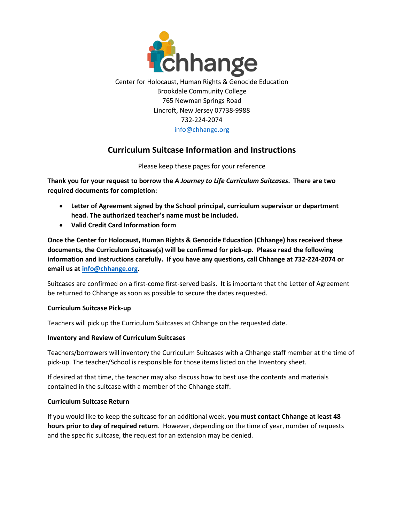

Center for Holocaust, Human Rights & Genocide Education Brookdale Community College 765 Newman Springs Road Lincroft, New Jersey 07738-9988 732-224-2074 [info@chhange.org](mailto:info@chhange.org)

# **Curriculum Suitcase Information and Instructions**

Please keep these pages for your reference

**Thank you for your request to borrow the** *A Journey to Life Curriculum Suitcases***. There are two required documents for completion:** 

- **Letter of Agreement signed by the School principal, curriculum supervisor or department head. The authorized teacher's name must be included.**
- **Valid Credit Card Information form**

**Once the Center for Holocaust, Human Rights & Genocide Education (Chhange) has received these documents, the Curriculum Suitcase(s) will be confirmed for pick-up. Please read the following information and instructions carefully. If you have any questions, call Chhange at 732-224-2074 or email us at info@chhange.org.**

Suitcases are confirmed on a first-come first-served basis. It is important that the Letter of Agreement be returned to Chhange as soon as possible to secure the dates requested.

## **Curriculum Suitcase Pick-up**

Teachers will pick up the Curriculum Suitcases at Chhange on the requested date.

## **Inventory and Review of Curriculum Suitcases**

Teachers/borrowers will inventory the Curriculum Suitcases with a Chhange staff member at the time of pick-up. The teacher/School is responsible for those items listed on the Inventory sheet.

If desired at that time, the teacher may also discuss how to best use the contents and materials contained in the suitcase with a member of the Chhange staff.

## **Curriculum Suitcase Return**

If you would like to keep the suitcase for an additional week, **you must contact Chhange at least 48 hours prior to day of required return**. However, depending on the time of year, number of requests and the specific suitcase, the request for an extension may be denied.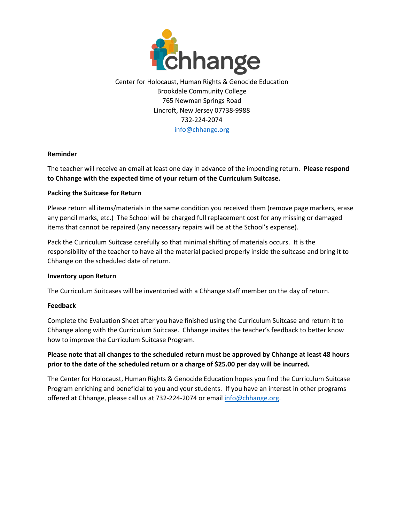

Center for Holocaust, Human Rights & Genocide Education Brookdale Community College 765 Newman Springs Road Lincroft, New Jersey 07738-9988 732-224-2074 info@chhange.org

### **Reminder**

The teacher will receive an email at least one day in advance of the impending return. **Please respond to Chhange with the expected time of your return of the Curriculum Suitcase.** 

### **Packing the Suitcase for Return**

Please return all items/materials in the same condition you received them (remove page markers, erase any pencil marks, etc.) The School will be charged full replacement cost for any missing or damaged items that cannot be repaired (any necessary repairs will be at the School's expense).

Pack the Curriculum Suitcase carefully so that minimal shifting of materials occurs. It is the responsibility of the teacher to have all the material packed properly inside the suitcase and bring it to Chhange on the scheduled date of return.

#### **Inventory upon Return**

The Curriculum Suitcases will be inventoried with a Chhange staff member on the day of return.

#### **Feedback**

Complete the Evaluation Sheet after you have finished using the Curriculum Suitcase and return it to Chhange along with the Curriculum Suitcase. Chhange invites the teacher's feedback to better know how to improve the Curriculum Suitcase Program.

## **Please note that all changes to the scheduled return must be approved by Chhange at least 48 hours prior to the date of the scheduled return or a charge of \$25.00 per day will be incurred.**

The Center for Holocaust, Human Rights & Genocide Education hopes you find the Curriculum Suitcase Program enriching and beneficial to you and your students. If you have an interest in other programs offered at Chhange, please call us at 732-224-2074 or email info@chhange.org.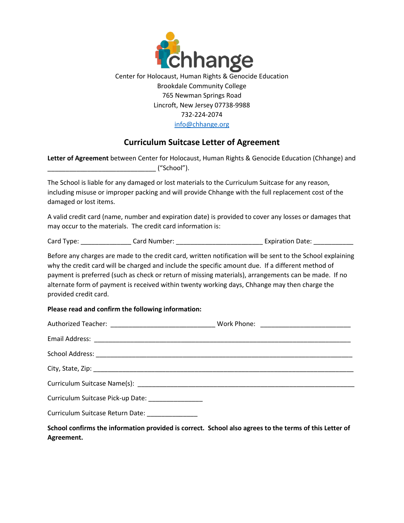

# **Curriculum Suitcase Letter of Agreement**

|                                                             |  | Letter of Agreement between Center for Holocaust, Human Rights & Genocide Education (Chhange) and                                                                                                                                                                                                                                                                                                                        |  |  |
|-------------------------------------------------------------|--|--------------------------------------------------------------------------------------------------------------------------------------------------------------------------------------------------------------------------------------------------------------------------------------------------------------------------------------------------------------------------------------------------------------------------|--|--|
| damaged or lost items.                                      |  | The School is liable for any damaged or lost materials to the Curriculum Suitcase for any reason,<br>including misuse or improper packing and will provide Chhange with the full replacement cost of the                                                                                                                                                                                                                 |  |  |
| may occur to the materials. The credit card information is: |  | A valid credit card (name, number and expiration date) is provided to cover any losses or damages that                                                                                                                                                                                                                                                                                                                   |  |  |
|                                                             |  |                                                                                                                                                                                                                                                                                                                                                                                                                          |  |  |
| provided credit card.                                       |  | Before any charges are made to the credit card, written notification will be sent to the School explaining<br>why the credit card will be charged and include the specific amount due. If a different method of<br>payment is preferred (such as check or return of missing materials), arrangements can be made. If no<br>alternate form of payment is received within twenty working days, Chhange may then charge the |  |  |
| Please read and confirm the following information:          |  |                                                                                                                                                                                                                                                                                                                                                                                                                          |  |  |
|                                                             |  |                                                                                                                                                                                                                                                                                                                                                                                                                          |  |  |
|                                                             |  |                                                                                                                                                                                                                                                                                                                                                                                                                          |  |  |
|                                                             |  |                                                                                                                                                                                                                                                                                                                                                                                                                          |  |  |
| City, State, Zip:                                           |  |                                                                                                                                                                                                                                                                                                                                                                                                                          |  |  |

Curriculum Suitcase Name(s): \_\_\_\_\_\_\_\_\_\_\_\_\_\_\_\_\_\_\_\_\_\_\_\_\_\_\_\_\_\_\_\_\_\_\_\_\_\_\_\_\_\_\_\_\_\_\_\_\_\_\_\_\_\_\_\_\_\_\_\_

Curriculum Suitcase Pick-up Date: \_\_\_\_\_\_\_\_\_\_\_\_\_\_\_\_\_

Curriculum Suitcase Return Date: \_\_\_\_\_\_\_\_\_\_\_\_\_\_\_

**School confirms the information provided is correct. School also agrees to the terms of this Letter of Agreement.**